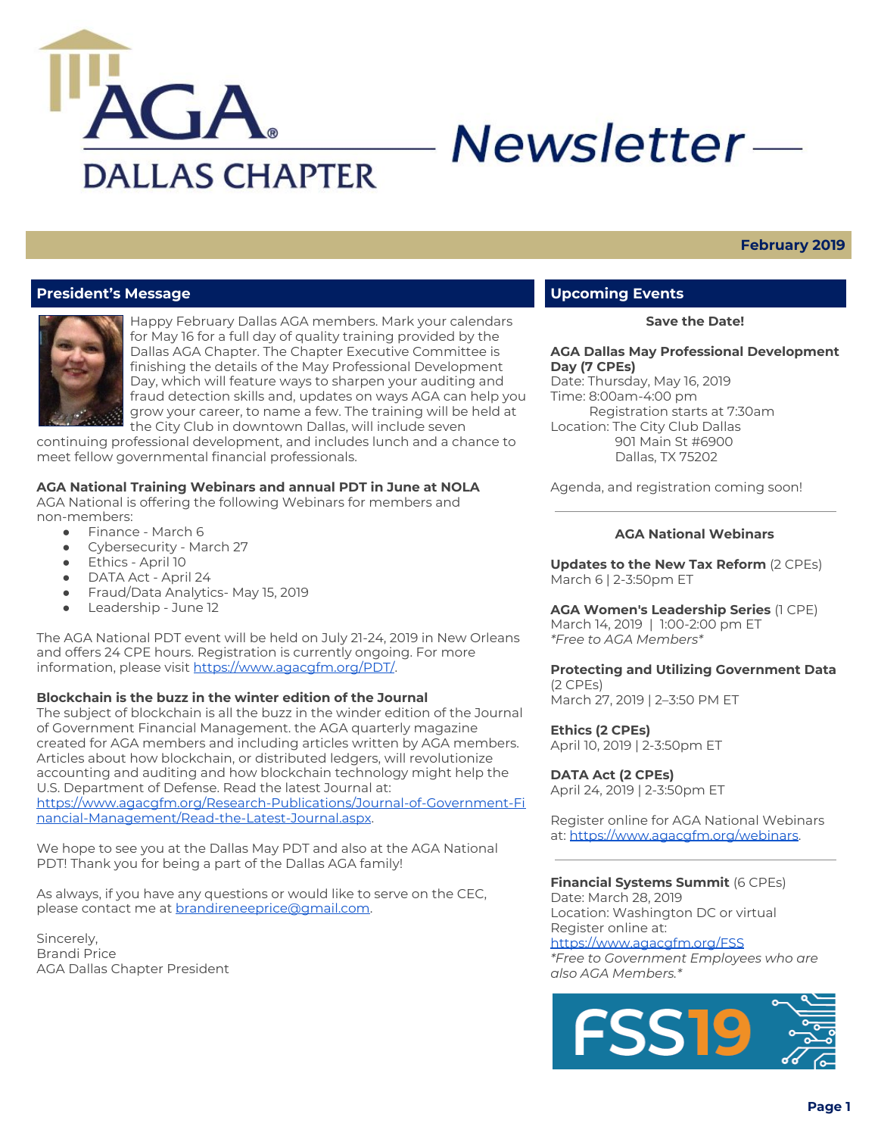

# Newsletter-

### **February 2019**

# **President's Message**



Happy February Dallas AGA members. Mark your calendars for May 16 for a full day of quality training provided by the Dallas AGA Chapter. The Chapter Executive Committee is finishing the details of the May Professional Development Day, which will feature ways to sharpen your auditing and fraud detection skills and, updates on ways AGA can help you grow your career, to name a few. The training will be held at the City Club in downtown Dallas, will include seven

continuing professional development, and includes lunch and a chance to meet fellow governmental financial professionals.

#### **AGA National Training Webinars and annual PDT in June at NOLA**

AGA National is offering the following Webinars for members and non-members:

- Finance March 6
- Cybersecurity March 27
- Ethics April 10
- DATA Act April 24
- Fraud/Data Analytics- May 15, 2019
- Leadership June 12

The AGA National PDT event will be held on July 21-24, 2019 in New Orleans and offers 24 CPE hours. Registration is currently ongoing. For more information, please visit <https://www.agacgfm.org/PDT/>.

#### **Blockchain is the buzz in the winter edition of the Journal**

The subject of blockchain is all the buzz in the winder edition of the Journal of Government Financial Management. the AGA quarterly magazine created for AGA members and including articles written by AGA members. Articles about how blockchain, or distributed ledgers, will revolutionize accounting and auditing and how blockchain technology might help the U.S. Department of Defense. Read the latest Journal at: [https://www.agacgfm.org/Research-Publications/Journal-of-Government-Fi](https://www.agacgfm.org/Research-Publications/Journal-of-Government-Financial-Management/Read-the-Latest-Journal.aspx) [nancial-Management/Read-the-Latest-Journal.aspx](https://www.agacgfm.org/Research-Publications/Journal-of-Government-Financial-Management/Read-the-Latest-Journal.aspx).

We hope to see you at the Dallas May PDT and also at the AGA National PDT! Thank you for being a part of the Dallas AGA family!

As always, if you have any questions or would like to serve on the CEC, please contact me at **[brandireneeprice@gmail.com](mailto:brandireneeprice@gmail.com)**.

Sincerely, Brandi Price AGA Dallas Chapter President

# **Upcoming Events**

**Save the Date!**

#### **AGA Dallas May Professional Development Day (7 CPEs)**

Date: Thursday, May 16, 2019 Time: 8:00am-4:00 pm Registration starts at 7:30am Location: The City Club Dallas 901 Main St #6900 Dallas, TX 75202

Agenda, and registration coming soon!

#### **AGA National Webinars**

**Updates to the New Tax Reform** (2 CPEs) March 6 | 2-3:50pm ET

#### **AGA Women's Leadership Series** (1 CPE)

March 14, 2019 | 1:00-2:00 pm ET *\*Free to AGA Members\**

# **Protecting and Utilizing Government Data**

(2 CPEs) March 27, 2019 | 2–3:50 PM ET

**Ethics (2 CPEs)** April 10, 2019 | 2-3:50pm ET

#### **DATA Act (2 CPEs)**

April 24, 2019 | 2-3:50pm ET

Register online for AGA National Webinars at: [https://www.agacgfm.org/webinars.](https://www.agacgfm.org/webinars)

#### **Financial Systems Summit** (6 CPEs)

Date: March 28, 2019 Location: Washington DC or virtual Register online at: <https://www.agacgfm.org/FSS>

*\*Free to Government Employees who are also AGA Members.\**